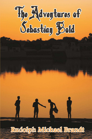

Rudolph Michael Brandt

TR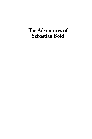# The Adventures of **Sebastian Bold**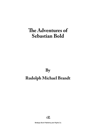# **The Adventures of Sebastian Bold**

**By**

## **Rudolph Michael Brandt**



Strategic Book Publishing and Rights Co.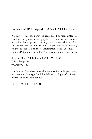Copyright © 2015 Rudolph Michael Brandt. All rights reserved.

No part of this book may be reproduced or transmitted in any form or by any means, graphic, electronic, or mechanical, including photocopying, recording, taping, or by any information storage retrieval system, without the permission, in writing, of the publisher. For more information, send an email to support@sbpra.net, Attention Subsidiary Rights Department.

Strategic Book Publishing and Rights Co., LLC USA | Singapore www.sbpra.com

For information about special discounts for bulk purchases, please contact Strategic Book Publishing and Rights Co. Special Sales at bookorder@sbpra.net.

ISBN: 978-1-68181-550-3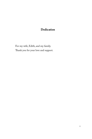### **Dedication**

For my wife, Edith, and my family. Thank you for your love and support.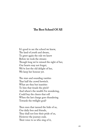### **The Best School Of All**

It's good to see the school we knew, The land of youth and dream, To greet again the rule we knew Before we took the stream: Though long we've missed the sight of her, Our hearts may not forget; We've lost the old delight of her, We keep her honour yet.

The stars and sounding vanities That half the crowd bewitch. What are they but inanities To him that treads the pitch? And where's the wealth I'm wondering, Could buy the cheers that roll When the last charge goes thundering Towards the twilight goal?

Then men that tanned the hide of us, Our daily foes and friends, They shall not lose their pride of us, However the journey ends. Their voice to us who sing of it,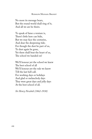#### Rudolph Michael Brandt

No more its message bears, But the round world shall ring of it, And all we are be theirs.

To speak of fame a venture is, There's little here can bide, But we may face the centuries, And dear the deepening tide; For though the dust be part of us, To dust again be gone, Yet there shall beat the heart of us, The school we handed on!

We'll honour yet the school we knew The best school of all We'll honour yet the rule we knew Till the last bell call. For working days or holidays And glad or melancholy days They were great days and jolly days At the best school of all.

*Sir Henry Newbolt (1862-1938)*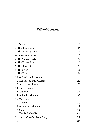## **Table of Contents**

| 1: Caught                      | 1   |
|--------------------------------|-----|
| 2: The Boxing Match            | 15  |
| 3: The Birthday Cake           | 25  |
| 4: Sebastian's Device          | 35  |
| 5: The Garden Party            | 47  |
| 6: The Flying Pages            | 57  |
| 7: The Brave One               | 64  |
| 8: The Swim                    | 70  |
| 9: The Race                    | 78  |
| 10: A Matter of Conscience     | 94  |
| 11: The Soot and the Ghosts    | 111 |
| 12: A Captured Heart           | 122 |
| 13: The Newcomer               | 133 |
| 14: The Fair                   | 140 |
| 15: A Tender Moment            | 147 |
| 16: Vanquished                 | 157 |
| 17: Triumph                    | 173 |
| 18: A Dinner Invitation        | 188 |
| 19: Goodbye                    | 200 |
| 20: The End of an Era          | 205 |
| 21: The Lady Nelson Sails Away | 208 |
| <b>Notes</b>                   | 219 |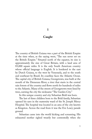#### **1**

### **Caught**

The country of British Guiana was a part of the British Empire at the time when, as the saying went, "The sun never set on the British Empire." Situated north of the equator, its size is approximately the size of Great Britain, with a land area of 83,000 square miles. It is the only South American country whose official language is English. It is bordered to the east by Dutch Guiana, to the west by Venezuela, and to the south and southeast by Brazil. Its coastline faces the Atlantic Ocean. The capital city of British Guiana, Georgetown, was built at the mouth of the Demerara River, a river that starts in the central rain forests of the country and flows north for hundreds of miles to the Atlantic. Many of the streets of Georgetown were lined by trees, earning the city the nickname "The Garden City."

In this unique country and city Sebastian Bold was born.

The last of three children born to the Bold family, Sebastian opened his eyes in the maternity ward of the St. Joseph Mercy Hospital. The hospital was located in an area of the city known as Kingston. Across the road from it was the Eve Leary parade ground.

Sebastian came into the world kicking and screaming. His exhausted mother sighed wearily but contentedly when she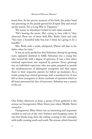heard him. At the precise moment of his birth, the police band was practicing on the parade ground for Empire Day and struck up the march, "It's a Long Way to Tipperary."

The nurses in attendance looked at each other, amused.

"He's hearing the music. He's crying in time with it," they observed. Then one of them held Mrs. Bold's hand and said, "You have a beautiful baby boy, but I think he's going to be a handful."

Mrs. Bold, with a smile, whispered, "Please tell that to his father when he visits."

It was an early prediction that Sebastian, during his growing years, appeared destined to fulfill. Sebastian was a young boy who viewed life with a degree of openness. It was a time when minimal supervision was required by parents. Every grownup was an individual supervisor who was quite prepared to punish the misdemeanours of delinquent youngsters and then report them to their respective parents for follow up treatment. As a result, young boys viewed grownups with a jaundiced eye. It was left to these youngsters to devise methods of operation which at all times presented the face of innocence. Sebastian was a master of the art.

One Friday afternoon in June, a group of boys gathered at the avenue on Georgetown's Main Street, just where Middle Street crossed it.

Georgetown's Main Street was an interesting and important conduit in and out of the city's business and shopping centre. It was four blocks long, from the railway crossing to the cenotaph, with traffic running north and south. The avenue, which bisected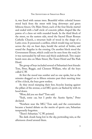it, was lined with saman trees. Beautiful white colonial houses stood back from the street with long driveways and green hibiscus fences. On Main Street, each of the four blocks started and ended with a half circle of concrete pillars shaped like the pawns of a chess set with rounded heads. In the third block of the street, on the eastern side, stood the Sacred Heart Roman Catholic Church, a structure built of wood in the shape of a Latin cross. It possessed a carillon, which would ring out hymns across the city on feast days, herald the arrival of brides, and sound the Angelus in the evening. On another block stood the Government House, which could not be seen from the road, for it was surrounded by tall trees and thick underbrush. Two major hotels were also on Main Street, The Tower Hotel and The Park Hotel.

The group of boys included several of Sebastian's best friends: Tom, Peter, Reggie, and Clement William, who all the boys called C.W.

At first the mood was somber and no one spoke, but as the minutes dragged on to fifteen minutes past their meeting time of five o'clock, the boys grew restless.

As they stood stamping their feet, bicycles leaning against the pillars of the avenue, a red MG sports car flashed by with its hood down.

"Wow, did you see that?" Tom said.

"Yeah, some car, but I prefer the Austin Sprite," Peter declared.

"Nowhere near the MG," Tom said, and the conversation became a heated debate on the merits of sports cars, Sebastian temporarily forgotten.

"There's Sebastian." C.W. pointed.

The dark clouds hung low in the sky, portending rain, as the afternoon closed around them.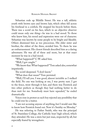Sebastian rode up Middle Street. He was a tall, athletic youth with brown eyes and brown hair, which often fell across his forehead in a cowlick. He stopped his bicycle before them. There was a scowl on his face, which to an objective observer could mean only one thing—he was in a bad mood. To those who knew him, his mood and expression were out of character. Sebastian was known by some people to be bright and likeable. Others dismissed him as too precocious. His elder sister and brother, the oldest of the three, avoided him. To them he was an embarrassment. His closest friends described him as a daring adventurer. He was all of these and more, but at that exact moment he was in a bad mood.

"What happened?" C.W. asked him.

"Well, I got caught."

"We know that. What happened?" Tom asked also, somewhat impatiently.

The scowl deepened. "I don't know."

"What does that mean?" Tom persisted.

"Well, I'll tell you. I was good, almost invisible as I walked the field. No one was looking at me, I was pretty sure. I got to the fence, went through it fast, and there was Fenwick and two other prefects as though they had nothing better to do than wait for me. Somebody must have squealed," he ended dramatically.

Voices rose in protest as each boy rejected any possibility that he could ever be a traitor.

"I am not accusing anyone of anything, but I would sure like to know how Fenwick found out. Now it's Smithy on Monday."

He was referring to Father Smith, who was the principal of St. Stanislaus College, the Catholic boys' high school, which they attended. He was a stern but just man, respected by all, but especially feared by wrongdoers.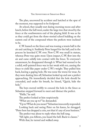The plan, uncovered by accident and hatched at the spur of the moment, was supposed to be foolproof.

At school, they usually met during morning recess and after lunch, before the bell went, under the large tree that stood by the fence at the southwestern end of the playing field. It was as far as they could get from the three-storied school building on the eastern end of the compound where the prefects were inclined to be.

C.W. leaned on the fence and was tossing a tennis ball in the air and catching it. Suddenly Peter lunged for the ball, and in the process he knocked C.W. over. Now C.W. was small in stature, whereas Peter was quite stout. Upon impact, C.W. flew into the air and came solidly into contact with the fence. To everyone's amazement, he disappeared through it. What had seemed to be a solid, well-painted fence was in fact weak with rot, causing the fence to yield like paper under C.W.'s weight. They pulled him back, leaving a gaping hole. He was none the worse for wear. As they were dusting him off, Sebastian looked up and saw a prefect approaching. He immediately decided that the hole should be concealed, and under his breath, he hissed, "Quick, hide the hole."

The boys moved swiftly to conceal the hole in the fence as Sebastian stepped forward to meet and distract the prefect.

"Hello," he said.

The prefect looked at him suspiciously.

"What are you up to?" he demanded.

"Up to? What do you mean?" Sebastian innocently responded. Looking back and seeing Peter on his knees, he shrugged.

"Peter here has dropped a coin, not that it's any of your business."

The prefect was about to reply when the bell rang.

"All right, you fellows, you heard the bell. Back to classes." With that, he turned and walked away.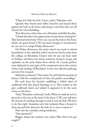"Okay, let's hide the hole. I have a plan," Sebastian said.

Quickly they found some fallen branches and leaned them against the hole in the fence, obscuring it, and then they ran off toward the school building.

That afternoon when they met, Sebastian unfolded his plan.

"I think that this is the opportunity we have been waiting for." They listened attentively. "If we can conceal the hole in the fence, which our good friend C.W. was kind enough to manufacture, we can use it to escape Friday afternoons."

On Friday afternoons, the entire school was made to attend benediction at the cathedral, which stood two blocks away from the college, on Brickdam. Classes were let out one hour early on Fridays, and there was always someone trying to escape and capitalize on the early release from school. As a result, prefects were deployed at every gate of the compound and at the corners of the roads leading off Brickdam. It was very effective policing, and very few escaped.

Sebastian continued. "I have here," he said with his usual air of drama, "with the compliments of Ann, the perfect camouflage."

He took from his bicycle's saddlebag a folded sheet of cardboard with fine pencil drawings on it. They looked at the grey cardboard sheet, and indeed it appeared to be the same colour as the fence.

"And," Sebastian continued, "tacks. What we shall do now is proceed to the area at the back of the fence. C.W., you will have the honour of crawling through to tack it over the hole. We have to do this right. Sometime over the weekend Dass is bound to clean up, and if he discovers the hole, he is sure to report it."

Dass was the caretaker and groundsman.

"Any questions?"

Reggie, always the cautious one, asked, "But what if we get caught?"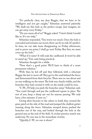"It's perfectly clear, my dear Reggie, that we have to be intelligent and not get caught," Sebastian answered patiently. "We shall use this hole as the perfect escape. Just imagine, we can get away every Friday."

"Do you mean all of us?" Reggie asked. "I don't think I would like to. It's too risky."

Sebastian responded, "You worry too much. Once the hole is concealed and remains our secret, there can be no risk. It's perfect. In time, we can take turns disappearing on Friday afternoons, and to prove my point, I shall go next Friday. But first, we must cover up the hole."

"What if it rains? It will soak the cardboard. It won't be able to stand up," Tom said, being practical.

Sebastian thought for a while.

"Now that's a good point. We'll have to think of a more permanent solution."

With that, he led off and they followed, with a reluctant Reggie the last to move off. They got to the road behind the fence and dismounted from their bicycles. There was no one about and no one walking on the street. The hole was clearly visible, and the branches they had covered it with on the inside could be seen.

"C.W., I'll help you push the branches away," Sebastian said. "You crawl through and put the cardboard square in place. The rest of you, keep a sharp eye out for anyone passing. We only have a few minutes. Come on."

Giving their bicycles to the others to hold, they crossed the grass patch at the side of the road and jumped the shallow gutter running along the fence. Sebastian stooped down, pushed the branches out of the way, and looked through the hole at the ground area at the end of the field. A cricket practice match was underway. No one was in the immediate vicinity.

"Quickly, C.W., no one is about."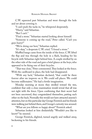C.W. squeezed past Sebastian and went through the hole and set about covering it.

"I can't push the tacks in," he whispered desperately.

"Hurry," said Sebastian.

"But I can't."

"Find a stone." Sebastian started looking about himself.

"Someone is coming up the road," Peter called. "Can't you guys hurry?"

"We're doing our best," Sebastian replied.

"It's okay," a desperate C.W. cried. "I found a stone."

Muffled bangs came from the inside of the fence. C.W. lifted the flap and was through the hole in a flash, heading for his bicycle with Sebastian right behind him. A couple strolled by on the other side of the road and gave a brief glance at the boys, who appeared to be fixing one of their bicycles.

"That was close," Peter commented. They looked at the fence. With the cardboard in place, the hole had disappeared.

"With any luck," Sebastian declared, "that could be there forever after we improve on it. We could sell places. We could become millionaires." He had a fertile imagination.

Monday morning at recess they strolled toward the tree, confident that only a close examination would reveal that all was not right with the fence. Upon confirming that their secret had not been uncovered, they congratulated themselves, patting each other on the back. Normally this would not have attracted anyone's attention, but on this particular day George Fenwick and his friends were walking just behind them, and George's curiosity was aroused.

"What are you fellows so happy about?" Fenwick asked.

Sebastian looked at him disdainfully. "Wouldn't you like to know?" he sneered.

George Fenwick, slighted, turned angrily and walked away, beckoning to his friends.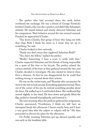The prefect who had accosted them the week before overheard the exchange. He was a friend of George Fenwick's brother Charles, who was also a prefect, and didn't like Sebastian's attitude. He stayed behind and closely observed Sebastian and his companions. Their behavior around the tree seemed unusual. Puzzled, he approached Charles.

"You know, Charles, that group of boys who hang out with that chap, Bold I think his name is, I swear they are up to something," he said.

Charles looked at him curiously.

"Surely you don't mean that vagabond Sebastian Bold?"

"Yes, that's the fellow," replied the prefect.

"Really? Interesting. I have a score to settle with him." Charles suspected Sebastian and his friends of being responsible for a spate of flat tires to his bicycle. The prefect related the curious attitude of the boys as they gathered around the tree, and Charles decided to investigate. He also started to observe them from a distance. At first he was disappointed, for he could find nothing wrong or unusual about their actions.

He was on the cricket team, and Thursday after net practice he went to the tree to look around. Everything appeared normal. Then, out of the corner of his eye, he noticed something peculiar about the fence. He walked up to it and looked down. The cardboard flap moved slightly in the wind. He bent down and gently lifted the flap, smiled to himself triumphantly, and lowered it.

The next morning when the prefects gathered for assignment, Charles announced, "Gentlemen, I think we will have an attempted break this afternoon. I know exactly how, and I have a very good idea who the culprit or culprits will be." He then proceeded to discuss his plans for the afternoon.

On Friday morning Sebastian got up, dressed quickly, and was early at the breakfast table.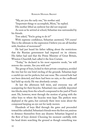"My, are you the early one," his mother said.

"Important things to accomplish, Mom," he replied.

His mother lifted an eyebrow but did not respond.

As soon as he arrived at school, Sebastian was surrounded by his friends.

Tom asked, "You're going to do it?"

With supreme confidence, Sebastian answered, "Of course! This is the ultimate in the expression I believe you are all familiar with, freedom of movement!"

He had just heard his father talking about the restrictions that the Russian government had imposed on its citizens. His father had said that the Prime Minister of Great Britain, Winston Churchill, had called it the Iron Curtain.

"Today," he declared in his most expansive mode, "we will remove the curtain. Are you with me?"

The group of boys, locked in their private conspiracy, avoided the tree but for one brief circling of the grounds. Sebastian kept a careful eye out for prefects, but saw none. The covered hole had not been detected, and there had been no rain, so the cardboard had held up nicely. He was absolutely certain.

At last the afternoon bell went, and everyone was off scampering for their bicycles. Sebastian's was carefully deposited two blocks away from the school's compound in the yard of Tom's aunt. He, however, went through the motion of going with the other boys to where the bicycles were kept. The prefects were deployed at the gates, but curiously there were none about the compound keeping an eye out for tardy movers.

Hundreds of boys filed through the gates and proceeded toward the cathedral. Sebastian's friends were the first out, anxious to distance themselves from any disaster. Sebastian lingered as the flow of boys slowed. Choosing his moment carefully, with his head down searching the ground as though something was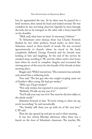lost, he approached the tree. As he drew near he paused for a brief moment, then raised his head and looked around. He was confident he was not being observed. Quickly he went through the hole, but as he emerged on the other side a heavy hand fell on his shoulder.

"Well, well, what have we here? A miscreant, I believe."

To Sebastian's utter dismay, there was Charles Fenwick flanked by two other prefects, broad smiles on their faces. Sebastian stared at them bereft of words. He was escorted ignominiously to church, where he stood in the back, completely deflated. George Fenwick and his friends were looking at him and laughing. At the end of the service he sneaked away, avoiding C.W. and the others until a few hours later when he stood in complete chagrin and recounted the missing pieces of the story for the benefit of his friends at their meeting place.

Reggie said, "Well, I warned you." His comment was untimely and earned him a withering look.

Tom said, "The last guy who was caught escaping came out of Smithy's office crying. He had got strokes."

"Who says I'll get strokes?"

"Not only strokes, but reported to your parents."

"Rubbish, I'll talk my way out of it."

"You'll talk your way out of it? You must be the best talker in the whole world."

Sebastian frowned at him. "If you're trying to cheer me up, you're succeeding," he said sarcastically.

"No, Smithy will cheer you up with six of the very best," C.W. said.

Then the sky opened up and put an end to their meeting.

It was two o'clock Monday afternoon when there was a knock on the door of Sebastian's classroom. The teacher, Mr.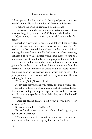Bailey, opened the door and took the slip of paper that a boy handed to him. He read it and looked directly at Sebastian.

"I believe the principal requires a Bold presence."

The class, who knew by now all about Sebastian's misadventure, burst out laughing, George Fenwick's laughter the loudest.

"Quiet there, and get on with your work," commanded Mr. Bailey.

Sebastian slowly got to his feet and followed the boy. His heart beat faster and numbness seemed to creep over him. All weekend he had plotted his defense, but he could think of nothing that could save him. He had even considered feigning sickness, but knew his mother would have none of that and understood that it would only serve to postpone the inevitable.

He stood in line with the other unfortunate souls, also guilty of some breach of conduct. A faint hum came from the classrooms. A low murmur of voices could be heard behind the closed door of the teachers' room, which was opposite the principal's office. The door opened and a boy came out. He was wringing his hands.

"Your turn, Bold," he said aloud.

He lowered his voice and whispered, "He is in a foul mood."

Sebastian entered the office and approached the desk. Father Smith was reading the slip of paper in his hand. He looked up. His piercing eyes bored into Sebastian, who felt himself shrinking.

"These are serious charges, Bold. What do you have to say for yourself?"

Sebastian struggled to find his voice.

Father Smith raised his voice slightly. "Speak up, boy, we don't have all afternoon."

"Well, sir, I thought I would go home early to help my mother, as Friday is a very busy day for her," he fumbled.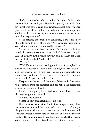"Help your mother, eh! By going through a hole in the fence, which you and your friends, I suppose, had made. You first disobeyed school rules and damaged school property. Then you tried to sneak out and miss benediction, the most important ending to the school week, and now you come here with this ridiculous explanation?"

Staring sternly at Sebastian, he continued, "Now tell me how the hole came to be in the fence. Who conspired with you to conceal it and use it to try to avoid benediction?"

Sebastian was not about to betray his friends. He decided to tell all, making it seem as though he had done everything by himself. Father Smith listened carefully to him. When Sebastian was finished, he asked, "Is that all?"

"Yes, sir."

"Well, I'm sure you are covering up for your friends, but I do believe the fence was weakened. Your actions, however, constitute a serious breach. You will receive six strokes, one week's detention after school, and you will also write an essay of five hundred words on the importance of benediction."

Despite what he had told the others, Sebastian had expected to get strokes from the principal, and had taken the precaution of wearing two pairs of pants.

Father Smith got up from his desk and took down the cane that was hanging on the wall.

"Assume the position."

Sebastian bent over, reaching for his toes.

It was a ritual with Father Smith that he applied only three meaningful strokes, and this was usually done at the beginning of the punishment. All the boys braced for them, and so it was with Sebastian, except the three hard strokes came at the end, just when he started to think how easy it was. The strokes knocked the bravado out of him, and it took all his willpower to muffle an outcry.